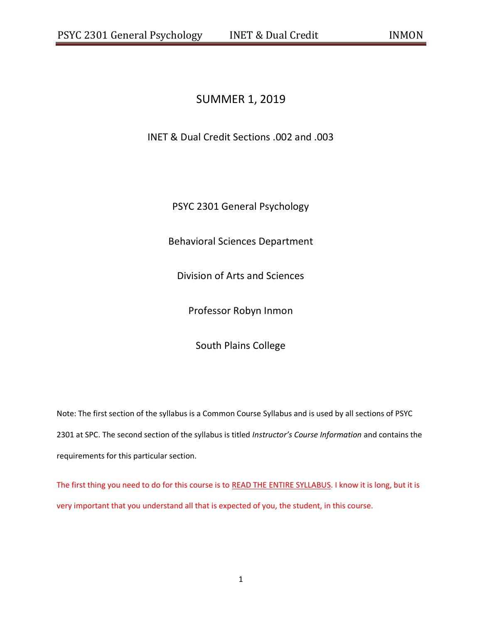# SUMMER 1, 2019

INET & Dual Credit Sections .002 and .003

PSYC 2301 General Psychology

Behavioral Sciences Department

Division of Arts and Sciences

Professor Robyn Inmon

South Plains College

Note: The first section of the syllabus is a Common Course Syllabus and is used by all sections of PSYC 2301 at SPC. The second section of the syllabus is titled *Instructor's Course Information* and contains the requirements for this particular section.

The first thing you need to do for this course is to READ THE ENTIRE SYLLABUS. I know it is long, but it is very important that you understand all that is expected of you, the student, in this course.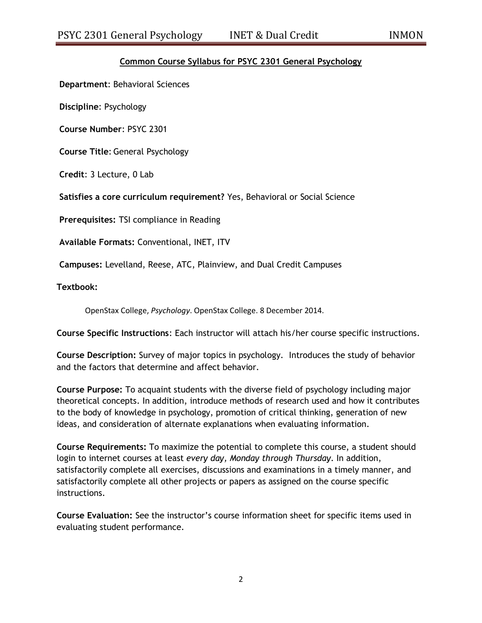## **Common Course Syllabus for PSYC 2301 General Psychology**

**Department**: Behavioral Sciences

**Discipline**: Psychology

**Course Number**: PSYC 2301

**Course Title**: General Psychology

**Credit**: 3 Lecture, 0 Lab

**Satisfies a core curriculum requirement?** Yes, Behavioral or Social Science

**Prerequisites:** TSI compliance in Reading

**Available Formats:** Conventional, INET, ITV

**Campuses:** Levelland, Reese, ATC, Plainview, and Dual Credit Campuses

**Textbook:**

OpenStax College, *Psychology*. OpenStax College. 8 December 2014.

**Course Specific Instructions**: Each instructor will attach his/her course specific instructions.

**Course Description:** Survey of major topics in psychology. Introduces the study of behavior and the factors that determine and affect behavior.

**Course Purpose:** To acquaint students with the diverse field of psychology including major theoretical concepts. In addition, introduce methods of research used and how it contributes to the body of knowledge in psychology, promotion of critical thinking, generation of new ideas, and consideration of alternate explanations when evaluating information.

**Course Requirements:** To maximize the potential to complete this course, a student should login to internet courses at least *every day, Monday through Thursday*. In addition, satisfactorily complete all exercises, discussions and examinations in a timely manner, and satisfactorily complete all other projects or papers as assigned on the course specific instructions.

**Course Evaluation:** See the instructor's course information sheet for specific items used in evaluating student performance.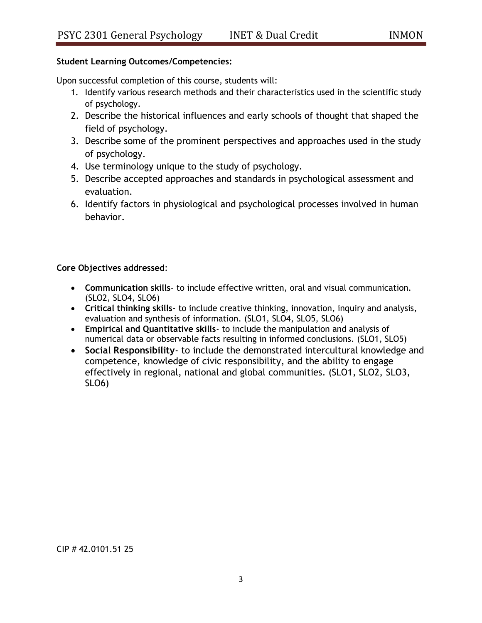## **Student Learning Outcomes/Competencies:**

Upon successful completion of this course, students will:

- 1. Identify various research methods and their characteristics used in the scientific study of psychology.
- 2. Describe the historical influences and early schools of thought that shaped the field of psychology.
- 3. Describe some of the prominent perspectives and approaches used in the study of psychology.
- 4. Use terminology unique to the study of psychology.
- 5. Describe accepted approaches and standards in psychological assessment and evaluation.
- 6. Identify factors in physiological and psychological processes involved in human behavior.

## **Core Objectives addressed**:

- **Communication skills** to include effective written, oral and visual communication. (SLO2, SLO4, SLO6)
- **Critical thinking skills** to include creative thinking, innovation, inquiry and analysis, evaluation and synthesis of information. (SLO1, SLO4, SLO5, SLO6)
- **Empirical and Quantitative skills** to include the manipulation and analysis of numerical data or observable facts resulting in informed conclusions. (SLO1, SLO5)
- **Social Responsibility** to include the demonstrated intercultural knowledge and competence, knowledge of civic responsibility, and the ability to engage effectively in regional, national and global communities. (SLO1, SLO2, SLO3, SLO6)

CIP # 42.0101.51 25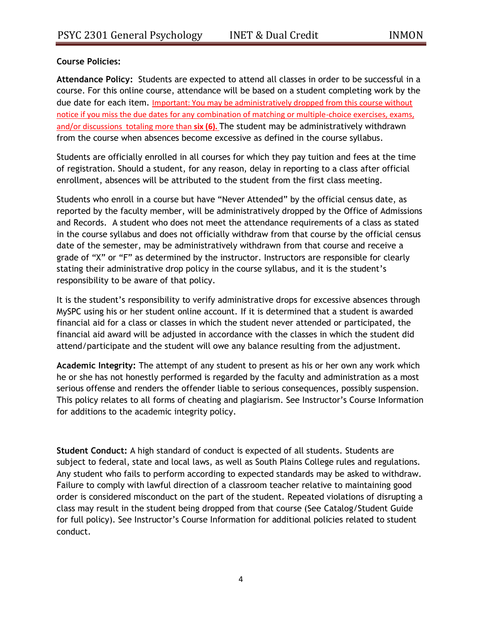**Course Policies:**

**Attendance Policy:** Students are expected to attend all classes in order to be successful in a course. For this online course, attendance will be based on a student completing work by the due date for each item. Important: You may be administratively dropped from this course without notice if you miss the due dates for any combination of matching or multiple-choice exercises, exams, and/or discussions totaling more than **six (6).** The student may be administratively withdrawn from the course when absences become excessive as defined in the course syllabus.

Students are officially enrolled in all courses for which they pay tuition and fees at the time of registration. Should a student, for any reason, delay in reporting to a class after official enrollment, absences will be attributed to the student from the first class meeting.

Students who enroll in a course but have "Never Attended" by the official census date, as reported by the faculty member, will be administratively dropped by the Office of Admissions and Records. A student who does not meet the attendance requirements of a class as stated in the course syllabus and does not officially withdraw from that course by the official census date of the semester, may be administratively withdrawn from that course and receive a grade of "X" or "F" as determined by the instructor. Instructors are responsible for clearly stating their administrative drop policy in the course syllabus, and it is the student's responsibility to be aware of that policy.

It is the student's responsibility to verify administrative drops for excessive absences through MySPC using his or her student online account. If it is determined that a student is awarded financial aid for a class or classes in which the student never attended or participated, the financial aid award will be adjusted in accordance with the classes in which the student did attend/participate and the student will owe any balance resulting from the adjustment.

**Academic Integrity:** The attempt of any student to present as his or her own any work which he or she has not honestly performed is regarded by the faculty and administration as a most serious offense and renders the offender liable to serious consequences, possibly suspension. This policy relates to all forms of cheating and plagiarism. See Instructor's Course Information for additions to the academic integrity policy.

**Student Conduct:** A high standard of conduct is expected of all students. Students are subject to federal, state and local laws, as well as South Plains College rules and regulations. Any student who fails to perform according to expected standards may be asked to withdraw. Failure to comply with lawful direction of a classroom teacher relative to maintaining good order is considered misconduct on the part of the student. Repeated violations of disrupting a class may result in the student being dropped from that course (See Catalog/Student Guide for full policy). See Instructor's Course Information for additional policies related to student conduct.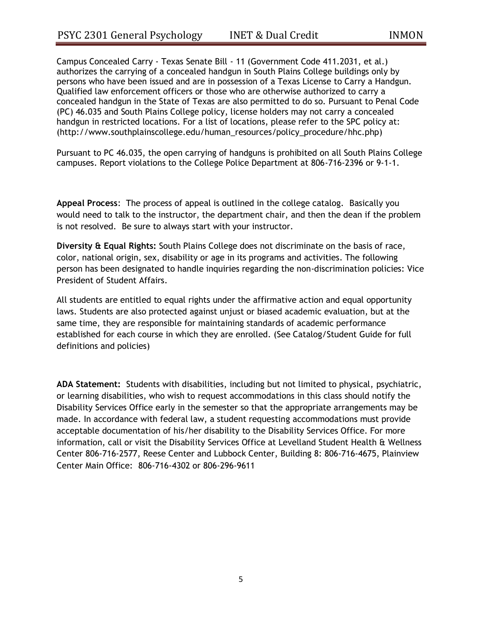Campus Concealed Carry - Texas Senate Bill - 11 (Government Code 411.2031, et al.) authorizes the carrying of a concealed handgun in South Plains College buildings only by persons who have been issued and are in possession of a Texas License to Carry a Handgun. Qualified law enforcement officers or those who are otherwise authorized to carry a concealed handgun in the State of Texas are also permitted to do so. Pursuant to Penal Code (PC) 46.035 and South Plains College policy, license holders may not carry a concealed handgun in restricted locations. For a list of locations, please refer to the SPC policy at: (http://www.southplainscollege.edu/human\_resources/policy\_procedure/hhc.php)

Pursuant to PC 46.035, the open carrying of handguns is prohibited on all South Plains College campuses. Report violations to the College Police Department at 806-716-2396 or 9-1-1.

**Appeal Process**: The process of appeal is outlined in the college catalog. Basically you would need to talk to the instructor, the department chair, and then the dean if the problem is not resolved. Be sure to always start with your instructor.

**Diversity & Equal Rights:** South Plains College does not discriminate on the basis of race, color, national origin, sex, disability or age in its programs and activities. The following person has been designated to handle inquiries regarding the non-discrimination policies: Vice President of Student Affairs.

All students are entitled to equal rights under the affirmative action and equal opportunity laws. Students are also protected against unjust or biased academic evaluation, but at the same time, they are responsible for maintaining standards of academic performance established for each course in which they are enrolled. (See Catalog/Student Guide for full definitions and policies)

**ADA Statement:** Students with disabilities, including but not limited to physical, psychiatric, or learning disabilities, who wish to request accommodations in this class should notify the Disability Services Office early in the semester so that the appropriate arrangements may be made. In accordance with federal law, a student requesting accommodations must provide acceptable documentation of his/her disability to the Disability Services Office. For more information, call or visit the Disability Services Office at Levelland Student Health & Wellness Center 806-716-2577, Reese Center and Lubbock Center, Building 8: 806-716-4675, Plainview Center Main Office: 806-716-4302 or 806-296-9611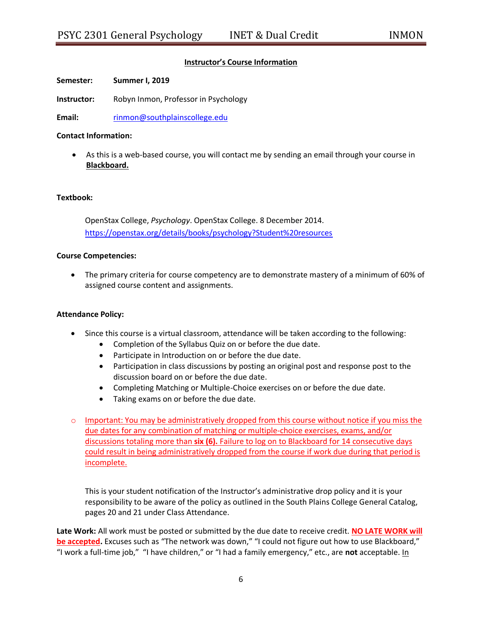## **Instructor's Course Information**

**Semester: Summer I, 2019**

**Instructor:** Robyn Inmon, Professor in Psychology

**Email:** [rinmon@southplainscollege.edu](mailto:rinmon@southplainscollege.edu)

#### **Contact Information:**

 As this is a web-based course, you will contact me by sending an email through your course in **Blackboard.**

#### **Textbook:**

OpenStax College, *Psychology*. OpenStax College. 8 December 2014. <https://openstax.org/details/books/psychology?Student%20resources>

#### **Course Competencies:**

 The primary criteria for course competency are to demonstrate mastery of a minimum of 60% of assigned course content and assignments.

### **Attendance Policy:**

- Since this course is a virtual classroom, attendance will be taken according to the following:
	- Completion of the Syllabus Quiz on or before the due date.
	- Participate in Introduction on or before the due date.
	- Participation in class discussions by posting an original post and response post to the discussion board on or before the due date.
	- Completing Matching or Multiple-Choice exercises on or before the due date.
	- Taking exams on or before the due date.
- $\circ$  Important: You may be administratively dropped from this course without notice if you miss the due dates for any combination of matching or multiple-choice exercises, exams, and/or discussions totaling more than **six (6).** Failure to log on to Blackboard for 14 consecutive days could result in being administratively dropped from the course if work due during that period is incomplete.

This is your student notification of the Instructor's administrative drop policy and it is your responsibility to be aware of the policy as outlined in the South Plains College General Catalog, pages 20 and 21 under Class Attendance.

**Late Work:** All work must be posted or submitted by the due date to receive credit. **NO LATE WORK will be accepted.** Excuses such as "The network was down," "I could not figure out how to use Blackboard," "I work a full-time job," "I have children," or "I had a family emergency," etc., are **not** acceptable. In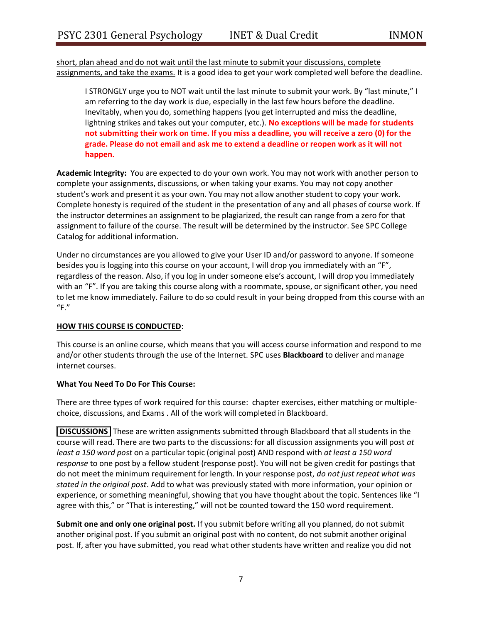short, plan ahead and do not wait until the last minute to submit your discussions, complete assignments, and take the exams. It is a good idea to get your work completed well before the deadline.

I STRONGLY urge you to NOT wait until the last minute to submit your work. By "last minute," I am referring to the day work is due, especially in the last few hours before the deadline. Inevitably, when you do, something happens (you get interrupted and miss the deadline, lightning strikes and takes out your computer, etc.). **No exceptions will be made for students not submitting their work on time. If you miss a deadline, you will receive a zero (0) for the grade. Please do not email and ask me to extend a deadline or reopen work as it will not happen.**

**Academic Integrity:** You are expected to do your own work. You may not work with another person to complete your assignments, discussions, or when taking your exams. You may not copy another student's work and present it as your own. You may not allow another student to copy your work. Complete honesty is required of the student in the presentation of any and all phases of course work. If the instructor determines an assignment to be plagiarized, the result can range from a zero for that assignment to failure of the course. The result will be determined by the instructor. See SPC College Catalog for additional information.

Under no circumstances are you allowed to give your User ID and/or password to anyone. If someone besides you is logging into this course on your account, I will drop you immediately with an "F", regardless of the reason. Also, if you log in under someone else's account, I will drop you immediately with an "F". If you are taking this course along with a roommate, spouse, or significant other, you need to let me know immediately. Failure to do so could result in your being dropped from this course with an "F."

## **HOW THIS COURSE IS CONDUCTED**:

This course is an online course, which means that you will access course information and respond to me and/or other students through the use of the Internet. SPC uses **Blackboard** to deliver and manage internet courses.

## **What You Need To Do For This Course:**

There are three types of work required for this course: chapter exercises, either matching or multiplechoice, discussions, and Exams . All of the work will completed in Blackboard.

**DISCUSSIONS** These are written assignments submitted through Blackboard that all students in the course will read. There are two parts to the discussions: for all discussion assignments you will post *at least a 150 word post* on a particular topic (original post) AND respond with *at least a 150 word response* to one post by a fellow student (response post). You will not be given credit for postings that do not meet the minimum requirement for length. In your response post, *do not just repeat what was stated in the original post*. Add to what was previously stated with more information, your opinion or experience, or something meaningful, showing that you have thought about the topic. Sentences like "I agree with this," or "That is interesting," will not be counted toward the 150 word requirement.

**Submit one and only one original post.** If you submit before writing all you planned, do not submit another original post. If you submit an original post with no content, do not submit another original post. If, after you have submitted, you read what other students have written and realize you did not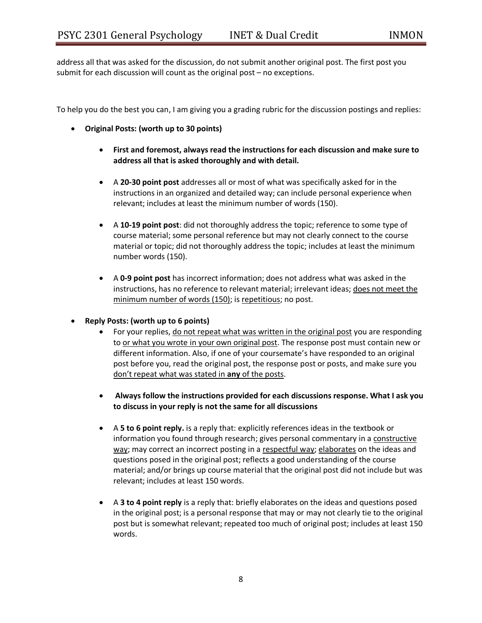address all that was asked for the discussion, do not submit another original post. The first post you submit for each discussion will count as the original post – no exceptions.

To help you do the best you can, I am giving you a grading rubric for the discussion postings and replies:

- **Original Posts: (worth up to 30 points)**
	- **First and foremost, always read the instructions for each discussion and make sure to address all that is asked thoroughly and with detail.**
	- A **20-30 point post** addresses all or most of what was specifically asked for in the instructions in an organized and detailed way; can include personal experience when relevant; includes at least the minimum number of words (150).
	- A **10-19 point post**: did not thoroughly address the topic; reference to some type of course material; some personal reference but may not clearly connect to the course material or topic; did not thoroughly address the topic; includes at least the minimum number words (150).
	- A **0-9 point post** has incorrect information; does not address what was asked in the instructions, has no reference to relevant material; irrelevant ideas; does not meet the minimum number of words (150); is repetitious; no post.
- **Reply Posts: (worth up to 6 points)**
	- For your replies, do not repeat what was written in the original post you are responding to or what you wrote in your own original post. The response post must contain new or different information. Also, if one of your coursemate's have responded to an original post before you, read the original post, the response post or posts, and make sure you don't repeat what was stated in **any** of the posts.
	- **Always follow the instructions provided for each discussions response. What I ask you to discuss in your reply is not the same for all discussions**
	- A **5 to 6 point reply.** is a reply that: explicitly references ideas in the textbook or information you found through research; gives personal commentary in a constructive way; may correct an incorrect posting in a respectful way; elaborates on the ideas and questions posed in the original post; reflects a good understanding of the course material; and/or brings up course material that the original post did not include but was relevant; includes at least 150 words.
	- A **3 to 4 point reply** is a reply that: briefly elaborates on the ideas and questions posed in the original post; is a personal response that may or may not clearly tie to the original post but is somewhat relevant; repeated too much of original post; includes at least 150 words.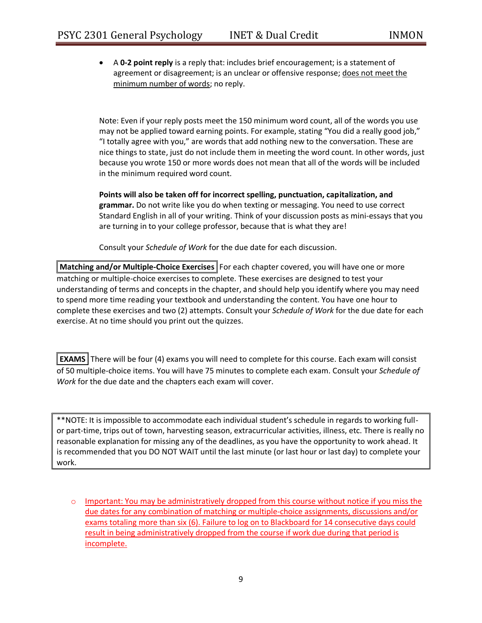A **0-2 point reply** is a reply that: includes brief encouragement; is a statement of agreement or disagreement; is an unclear or offensive response; does not meet the minimum number of words; no reply.

Note: Even if your reply posts meet the 150 minimum word count, all of the words you use may not be applied toward earning points. For example, stating "You did a really good job," "I totally agree with you," are words that add nothing new to the conversation. These are nice things to state, just do not include them in meeting the word count. In other words, just because you wrote 150 or more words does not mean that all of the words will be included in the minimum required word count.

**Points will also be taken off for incorrect spelling, punctuation, capitalization, and grammar.** Do not write like you do when texting or messaging. You need to use correct Standard English in all of your writing. Think of your discussion posts as mini-essays that you are turning in to your college professor, because that is what they are!

Consult your *Schedule of Work* for the due date for each discussion.

**Matching and/or Multiple-Choice Exercises** For each chapter covered, you will have one or more matching or multiple-choice exercises to complete. These exercises are designed to test your understanding of terms and concepts in the chapter, and should help you identify where you may need to spend more time reading your textbook and understanding the content. You have one hour to complete these exercises and two (2) attempts. Consult your *Schedule of Work* for the due date for each exercise. At no time should you print out the quizzes.

**EXAMS** There will be four (4) exams you will need to complete for this course. Each exam will consist of 50 multiple-choice items. You will have 75 minutes to complete each exam. Consult your *Schedule of Work* for the due date and the chapters each exam will cover.

\*\*NOTE: It is impossible to accommodate each individual student's schedule in regards to working fullor part-time, trips out of town, harvesting season, extracurricular activities, illness, etc. There is really no reasonable explanation for missing any of the deadlines, as you have the opportunity to work ahead. It is recommended that you DO NOT WAIT until the last minute (or last hour or last day) to complete your work.

o Important: You may be administratively dropped from this course without notice if you miss the due dates for any combination of matching or multiple-choice assignments, discussions and/or exams totaling more than six (6). Failure to log on to Blackboard for 14 consecutive days could result in being administratively dropped from the course if work due during that period is incomplete.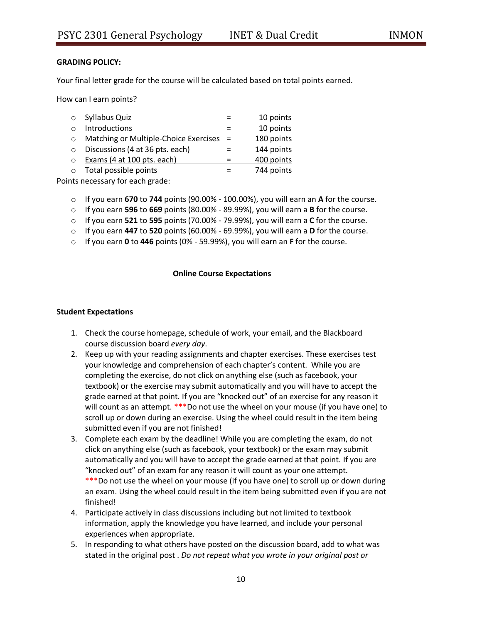## **GRADING POLICY:**

Your final letter grade for the course will be calculated based on total points earned.

How can I earn points?

| $\Omega$ | Syllabus Quiz                         |     | 10 points  |
|----------|---------------------------------------|-----|------------|
|          | Introductions                         |     | 10 points  |
| $\Omega$ | Matching or Multiple-Choice Exercises | $=$ | 180 points |
| $\Omega$ | Discussions (4 at 36 pts. each)       |     | 144 points |
| $\Omega$ | Exams (4 at 100 pts. each)            |     | 400 points |
| $\Omega$ | Total possible points                 |     | 744 points |
|          |                                       |     |            |

Points necessary for each grade:

- o If you earn **670** to **744** points (90.00% 100.00%), you will earn an **A** for the course.
- o If you earn **596** to **669** points (80.00% 89.99%), you will earn a **B** for the course.
- o If you earn **521** to **595** points (70.00% 79.99%), you will earn a **C** for the course.
- o If you earn **447** to **520** points (60.00% 69.99%), you will earn a **D** for the course.
- o If you earn **0** to **446** points (0% 59.99%), you will earn an **F** for the course.

### **Online Course Expectations**

#### **Student Expectations**

- 1. Check the course homepage, schedule of work, your email, and the Blackboard course discussion board *every day*.
- 2. Keep up with your reading assignments and chapter exercises. These exercises test your knowledge and comprehension of each chapter's content. While you are completing the exercise, do not click on anything else (such as facebook, your textbook) or the exercise may submit automatically and you will have to accept the grade earned at that point. If you are "knocked out" of an exercise for any reason it will count as an attempt. \*\*\*Do not use the wheel on your mouse (if you have one) to scroll up or down during an exercise. Using the wheel could result in the item being submitted even if you are not finished!
- 3. Complete each exam by the deadline! While you are completing the exam, do not click on anything else (such as facebook, your textbook) or the exam may submit automatically and you will have to accept the grade earned at that point. If you are "knocked out" of an exam for any reason it will count as your one attempt.

\*\*\*Do not use the wheel on your mouse (if you have one) to scroll up or down during an exam. Using the wheel could result in the item being submitted even if you are not finished!

- 4. Participate actively in class discussions including but not limited to textbook information, apply the knowledge you have learned, and include your personal experiences when appropriate.
- 5. In responding to what others have posted on the discussion board, add to what was stated in the original post . *Do not repeat what you wrote in your original post or*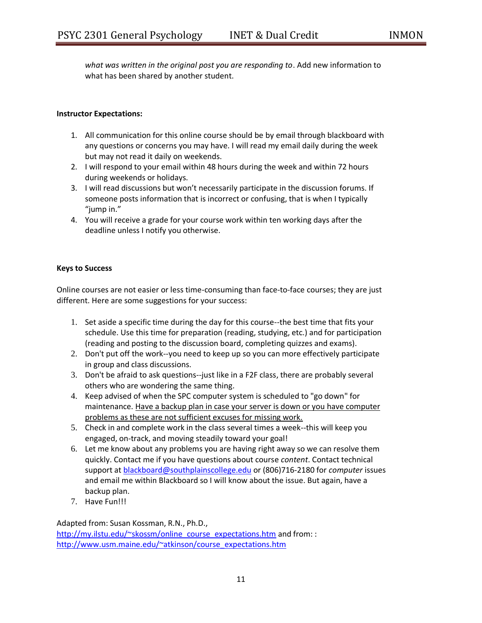*what was written in the original post you are responding to*. Add new information to what has been shared by another student.

### **Instructor Expectations:**

- 1. All communication for this online course should be by email through blackboard with any questions or concerns you may have. I will read my email daily during the week but may not read it daily on weekends.
- 2. I will respond to your email within 48 hours during the week and within 72 hours during weekends or holidays.
- 3. I will read discussions but won't necessarily participate in the discussion forums. If someone posts information that is incorrect or confusing, that is when I typically "jump in."
- 4. You will receive a grade for your course work within ten working days after the deadline unless I notify you otherwise.

## **Keys to Success**

Online courses are not easier or less time-consuming than face-to-face courses; they are just different. Here are some suggestions for your success:

- 1. Set aside a specific time during the day for this course--the best time that fits your schedule. Use this time for preparation (reading, studying, etc.) and for participation (reading and posting to the discussion board, completing quizzes and exams).
- 2. Don't put off the work--you need to keep up so you can more effectively participate in group and class discussions.
- 3. Don't be afraid to ask questions--just like in a F2F class, there are probably several others who are wondering the same thing.
- 4. Keep advised of when the SPC computer system is scheduled to "go down" for maintenance. Have a backup plan in case your server is down or you have computer problems as these are not sufficient excuses for missing work.
- 5. Check in and complete work in the class several times a week--this will keep you engaged, on-track, and moving steadily toward your goal!
- 6. Let me know about any problems you are having right away so we can resolve them quickly. Contact me if you have questions about course *content*. Contact technical support at [blackboard@southplainscollege.edu](mailto:blackboard@southplainscollege.edu) or (806)716-2180 for *computer* issues and email me within Blackboard so I will know about the issue. But again, have a backup plan.
- 7. Have Fun!!!

Adapted from: Susan Kossman, R.N., Ph.D.,

[http://my.ilstu.edu/~skossm/online\\_course\\_expectations.htm](http://my.ilstu.edu/~skossm/online_course_expectations.htm) and from:: [http://www.usm.maine.edu/~atkinson/course\\_expectations.htm](http://www.usm.maine.edu/~atkinson/course_expectations.htm)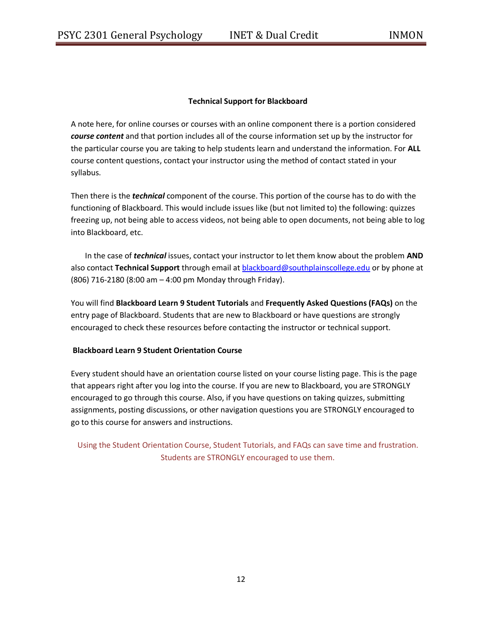## **Technical Support for Blackboard**

A note here, for online courses or courses with an online component there is a portion considered *course content* and that portion includes all of the course information set up by the instructor for the particular course you are taking to help students learn and understand the information. For **ALL**  course content questions, contact your instructor using the method of contact stated in your syllabus.

Then there is the *technical* component of the course. This portion of the course has to do with the functioning of Blackboard. This would include issues like (but not limited to) the following: quizzes freezing up, not being able to access videos, not being able to open documents, not being able to log into Blackboard, etc.

In the case of *technical* issues, contact your instructor to let them know about the problem **AND**  also contact **Technical Support** through email a[t blackboard@southplainscollege.edu](mailto:blackboard@southplainscollege.edu) or by phone at (806) 716-2180 (8:00 am – 4:00 pm Monday through Friday).

You will find **Blackboard Learn 9 Student Tutorials** and **Frequently Asked Questions (FAQs)** on the entry page of Blackboard. Students that are new to Blackboard or have questions are strongly encouraged to check these resources before contacting the instructor or technical support.

### **Blackboard Learn 9 Student Orientation Course**

Every student should have an orientation course listed on your course listing page. This is the page that appears right after you log into the course. If you are new to Blackboard, you are STRONGLY encouraged to go through this course. Also, if you have questions on taking quizzes, submitting assignments, posting discussions, or other navigation questions you are STRONGLY encouraged to go to this course for answers and instructions.

Using the Student Orientation Course, Student Tutorials, and FAQs can save time and frustration. Students are STRONGLY encouraged to use them.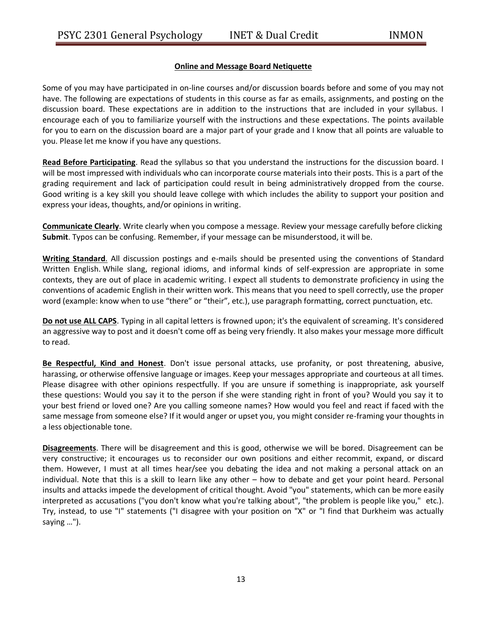## **Online and Message Board Netiquette**

Some of you may have participated in on-line courses and/or discussion boards before and some of you may not have. The following are expectations of students in this course as far as emails, assignments, and posting on the discussion board. These expectations are in addition to the instructions that are included in your syllabus. I encourage each of you to familiarize yourself with the instructions and these expectations. The points available for you to earn on the discussion board are a major part of your grade and I know that all points are valuable to you. Please let me know if you have any questions.

**Read Before Participating**. Read the syllabus so that you understand the instructions for the discussion board. I will be most impressed with individuals who can incorporate course materials into their posts. This is a part of the grading requirement and lack of participation could result in being administratively dropped from the course. Good writing is a key skill you should leave college with which includes the ability to support your position and express your ideas, thoughts, and/or opinions in writing.

**Communicate Clearly**. Write clearly when you compose a message. Review your message carefully before clicking **Submit**. Typos can be confusing. Remember, if your message can be misunderstood, it will be.

**Writing Standard**. All discussion postings and e-mails should be presented using the conventions of Standard Written English. While slang, regional idioms, and informal kinds of self-expression are appropriate in some contexts, they are out of place in academic writing. I expect all students to demonstrate proficiency in using the conventions of academic English in their written work. This means that you need to spell correctly, use the proper word (example: know when to use "there" or "their", etc.), use paragraph formatting, correct punctuation, etc.

**Do not use ALL CAPS**. Typing in all capital letters is frowned upon; it's the equivalent of screaming. It's considered an aggressive way to post and it doesn't come off as being very friendly. It also makes your message more difficult to read.

**Be Respectful, Kind and Honest**. Don't issue personal attacks, use profanity, or post threatening, abusive, harassing, or otherwise offensive language or images. Keep your messages appropriate and courteous at all times. Please disagree with other opinions respectfully. If you are unsure if something is inappropriate, ask yourself these questions: Would you say it to the person if she were standing right in front of you? Would you say it to your best friend or loved one? Are you calling someone names? How would you feel and react if faced with the same message from someone else? If it would anger or upset you, you might consider re-framing your thoughts in a less objectionable tone.

**Disagreements**. There will be disagreement and this is good, otherwise we will be bored. Disagreement can be very constructive; it encourages us to reconsider our own positions and either recommit, expand, or discard them. However, I must at all times hear/see you debating the idea and not making a personal attack on an individual. Note that this is a skill to learn like any other – how to debate and get your point heard. Personal insults and attacks impede the development of critical thought. Avoid "you" statements, which can be more easily interpreted as accusations ("you don't know what you're talking about", "the problem is people like you," etc.). Try, instead, to use "I" statements ("I disagree with your position on "X" or "I find that Durkheim was actually saying …").